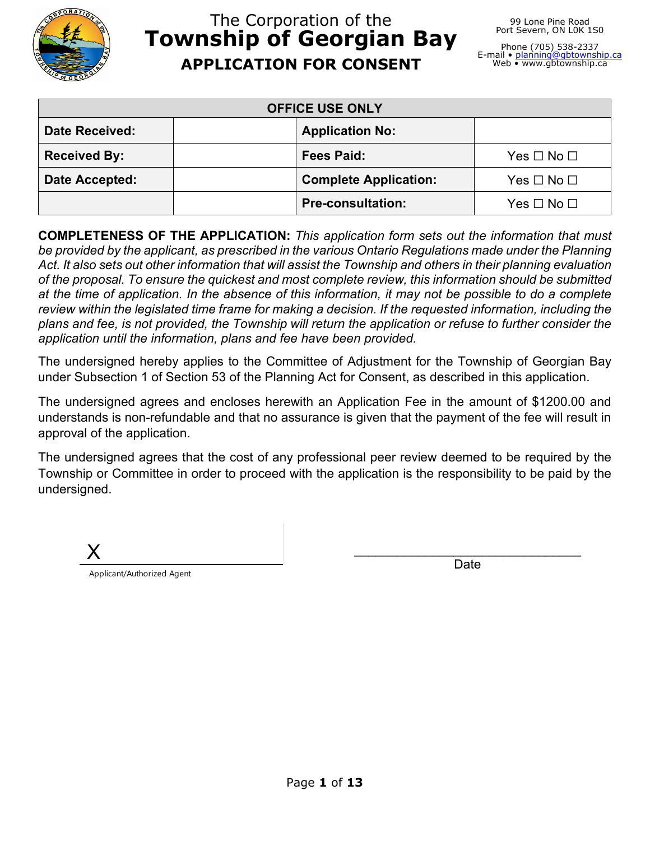

# The Corporation of the **Township of Georgian Bay APPLICATION FOR CONSENT**

Phone (705) 538-2337 E-mail • <u>[planning@gbtownship.ca](mailto:planning@gbtownship.ca)</u><br>Web • www.gbtownship.ca

| <b>OFFICE USE ONLY</b> |                              |                      |  |
|------------------------|------------------------------|----------------------|--|
| <b>Date Received:</b>  | <b>Application No:</b>       |                      |  |
| <b>Received By:</b>    | Fees Paid:                   | Yes $\Box$ No $\Box$ |  |
| Date Accepted:         | <b>Complete Application:</b> | Yes $\Box$ No $\Box$ |  |
|                        | <b>Pre-consultation:</b>     | $Yes \Box No \Box$   |  |

**COMPLETENESS OF THE APPLICATION:** *This application form sets out the information that must be provided by the applicant, as prescribed in the various Ontario Regulations made under the Planning Act. It also sets out other information that will assist the Township and others in their planning evaluation of the proposal. To ensure the quickest and most complete review, this information should be submitted at the time of application. In the absence of this information, it may not be possible to do a complete review within the legislated time frame for making a decision. If the requested information, including the plans and fee, is not provided, the Township will return the application or refuse to further consider the application until the information, plans and fee have been provided.*

The undersigned hereby applies to the Committee of Adjustment for the Township of Georgian Bay under Subsection 1 of Section 53 of the Planning Act for Consent, as described in this application.

The undersigned agrees and encloses herewith an Application Fee in the amount of \$1200.00 and understands is non-refundable and that no assurance is given that the payment of the fee will result in approval of the application.

The undersigned agrees that the cost of any professional peer review deemed to be required by the Township or Committee in order to proceed with the application is the responsibility to be paid by the undersigned.

X Applicant/Authorized Agent \_\_\_\_\_\_\_\_\_\_\_\_\_\_\_\_\_\_\_\_\_\_\_\_\_\_\_\_\_\_\_\_ Date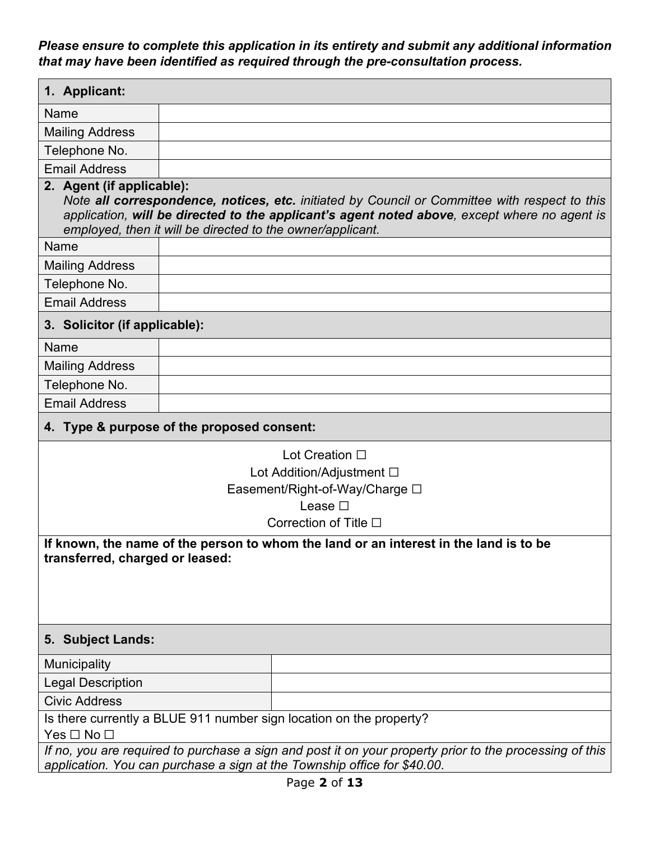*Please ensure to complete this application in its entirety and submit any additional information that may have been identified as required through the pre-consultation process.*

| 1. Applicant:                                                                                                                                                                       |                                                                                                                                                                                                                                                             |  |  |  |
|-------------------------------------------------------------------------------------------------------------------------------------------------------------------------------------|-------------------------------------------------------------------------------------------------------------------------------------------------------------------------------------------------------------------------------------------------------------|--|--|--|
| Name                                                                                                                                                                                |                                                                                                                                                                                                                                                             |  |  |  |
| <b>Mailing Address</b>                                                                                                                                                              |                                                                                                                                                                                                                                                             |  |  |  |
| Telephone No.                                                                                                                                                                       |                                                                                                                                                                                                                                                             |  |  |  |
| <b>Email Address</b>                                                                                                                                                                |                                                                                                                                                                                                                                                             |  |  |  |
| 2. Agent (if applicable):                                                                                                                                                           | Note all correspondence, notices, etc. initiated by Council or Committee with respect to this<br>application, will be directed to the applicant's agent noted above, except where no agent is<br>employed, then it will be directed to the owner/applicant. |  |  |  |
| Name                                                                                                                                                                                |                                                                                                                                                                                                                                                             |  |  |  |
| <b>Mailing Address</b>                                                                                                                                                              |                                                                                                                                                                                                                                                             |  |  |  |
| Telephone No.                                                                                                                                                                       |                                                                                                                                                                                                                                                             |  |  |  |
| <b>Email Address</b>                                                                                                                                                                |                                                                                                                                                                                                                                                             |  |  |  |
| 3. Solicitor (if applicable):                                                                                                                                                       |                                                                                                                                                                                                                                                             |  |  |  |
| Name                                                                                                                                                                                |                                                                                                                                                                                                                                                             |  |  |  |
| <b>Mailing Address</b>                                                                                                                                                              |                                                                                                                                                                                                                                                             |  |  |  |
| Telephone No.                                                                                                                                                                       |                                                                                                                                                                                                                                                             |  |  |  |
| <b>Email Address</b>                                                                                                                                                                |                                                                                                                                                                                                                                                             |  |  |  |
|                                                                                                                                                                                     | 4. Type & purpose of the proposed consent:                                                                                                                                                                                                                  |  |  |  |
| Lot Creation □                                                                                                                                                                      |                                                                                                                                                                                                                                                             |  |  |  |
| Lot Addition/Adjustment □                                                                                                                                                           |                                                                                                                                                                                                                                                             |  |  |  |
| Easement/Right-of-Way/Charge □                                                                                                                                                      |                                                                                                                                                                                                                                                             |  |  |  |
| Lease $\Box$                                                                                                                                                                        |                                                                                                                                                                                                                                                             |  |  |  |
| Correction of Title $\square$                                                                                                                                                       |                                                                                                                                                                                                                                                             |  |  |  |
| If known, the name of the person to whom the land or an interest in the land is to be<br>transferred, charged or leased:                                                            |                                                                                                                                                                                                                                                             |  |  |  |
| 5. Subject Lands:                                                                                                                                                                   |                                                                                                                                                                                                                                                             |  |  |  |
| Municipality                                                                                                                                                                        |                                                                                                                                                                                                                                                             |  |  |  |
| <b>Legal Description</b>                                                                                                                                                            |                                                                                                                                                                                                                                                             |  |  |  |
| <b>Civic Address</b>                                                                                                                                                                |                                                                                                                                                                                                                                                             |  |  |  |
| Is there currently a BLUE 911 number sign location on the property?                                                                                                                 |                                                                                                                                                                                                                                                             |  |  |  |
| Yes $\Box$ No $\Box$                                                                                                                                                                |                                                                                                                                                                                                                                                             |  |  |  |
| If no, you are required to purchase a sign and post it on your property prior to the processing of this<br>application. You can purchase a sign at the Township office for \$40.00. |                                                                                                                                                                                                                                                             |  |  |  |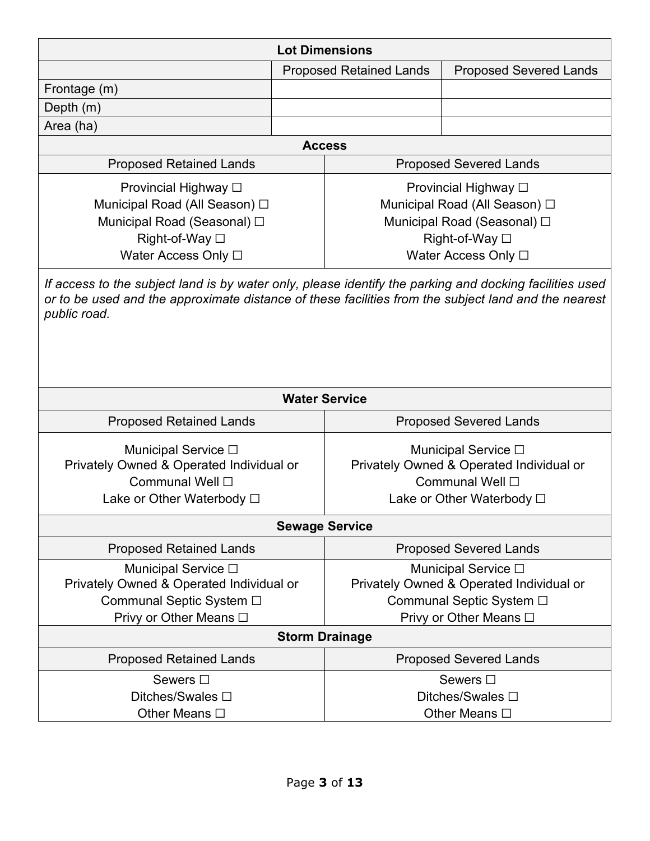| <b>Lot Dimensions</b>                                                                                                                                                                                                           |  |                                                                                                                               |                                                                                                                       |
|---------------------------------------------------------------------------------------------------------------------------------------------------------------------------------------------------------------------------------|--|-------------------------------------------------------------------------------------------------------------------------------|-----------------------------------------------------------------------------------------------------------------------|
|                                                                                                                                                                                                                                 |  | <b>Proposed Retained Lands</b>                                                                                                | <b>Proposed Severed Lands</b>                                                                                         |
| Frontage (m)                                                                                                                                                                                                                    |  |                                                                                                                               |                                                                                                                       |
| Depth (m)                                                                                                                                                                                                                       |  |                                                                                                                               |                                                                                                                       |
| Area (ha)                                                                                                                                                                                                                       |  |                                                                                                                               |                                                                                                                       |
|                                                                                                                                                                                                                                 |  | <b>Access</b>                                                                                                                 |                                                                                                                       |
| <b>Proposed Retained Lands</b>                                                                                                                                                                                                  |  |                                                                                                                               | <b>Proposed Severed Lands</b>                                                                                         |
| Provincial Highway □<br>Municipal Road (All Season) □<br>Municipal Road (Seasonal) □<br>Right-of-Way □<br>Water Access Only □                                                                                                   |  | Provincial Highway □<br>Municipal Road (All Season) □<br>Municipal Road (Seasonal) □<br>Right-of-Way □<br>Water Access Only □ |                                                                                                                       |
| If access to the subject land is by water only, please identify the parking and docking facilities used<br>or to be used and the approximate distance of these facilities from the subject land and the nearest<br>public road. |  |                                                                                                                               |                                                                                                                       |
|                                                                                                                                                                                                                                 |  | <b>Water Service</b>                                                                                                          |                                                                                                                       |
| <b>Proposed Retained Lands</b><br><b>Proposed Severed Lands</b>                                                                                                                                                                 |  |                                                                                                                               |                                                                                                                       |
| Municipal Service □<br>Privately Owned & Operated Individual or<br>Communal Well □<br>Lake or Other Waterbody □                                                                                                                 |  |                                                                                                                               | Municipal Service □<br>Privately Owned & Operated Individual or<br>Communal Well □<br>Lake or Other Waterbody □       |
|                                                                                                                                                                                                                                 |  | <b>Sewage Service</b>                                                                                                         |                                                                                                                       |
| <b>Proposed Retained Lands</b>                                                                                                                                                                                                  |  |                                                                                                                               | <b>Proposed Severed Lands</b>                                                                                         |
| Municipal Service □<br>Privately Owned & Operated Individual or<br>Communal Septic System □<br>Privy or Other Means □                                                                                                           |  |                                                                                                                               | Municipal Service □<br>Privately Owned & Operated Individual or<br>Communal Septic System □<br>Privy or Other Means □ |
| <b>Storm Drainage</b>                                                                                                                                                                                                           |  |                                                                                                                               |                                                                                                                       |
| <b>Proposed Retained Lands</b>                                                                                                                                                                                                  |  | <b>Proposed Severed Lands</b>                                                                                                 |                                                                                                                       |
| Sewers □                                                                                                                                                                                                                        |  |                                                                                                                               | Sewers □                                                                                                              |
| Ditches/Swales □                                                                                                                                                                                                                |  |                                                                                                                               | Ditches/Swales □                                                                                                      |
| Other Means □                                                                                                                                                                                                                   |  |                                                                                                                               | Other Means □                                                                                                         |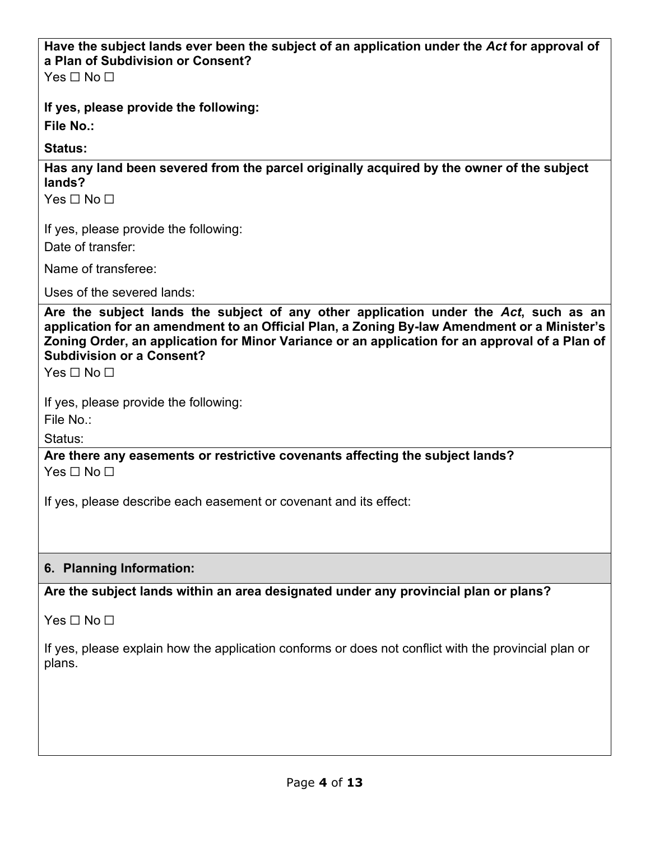## **Have the subject lands ever been the subject of an application under the** *Act* **for approval of a Plan of Subdivision or Consent?**

Yes □ No □

**If yes, please provide the following:**

**File No.:**

**Status:**

**Has any land been severed from the parcel originally acquired by the owner of the subject lands?**

Yes □ No □

If yes, please provide the following:

Date of transfer:

Name of transferee:

Uses of the severed lands:

**Are the subject lands the subject of any other application under the** *Act***, such as an application for an amendment to an Official Plan, a Zoning By-law Amendment or a Minister's Zoning Order, an application for Minor Variance or an application for an approval of a Plan of Subdivision or a Consent?**

 $Yes \sqcap No \sqcap$ 

If yes, please provide the following:

File No.:

Status:

**Are there any easements or restrictive covenants affecting the subject lands?**  $Yes \sqcap No \sqcap$ 

If yes, please describe each easement or covenant and its effect:

#### **6. Planning Information:**

**Are the subject lands within an area designated under any provincial plan or plans?**

Yes □ No □

If yes, please explain how the application conforms or does not conflict with the provincial plan or plans.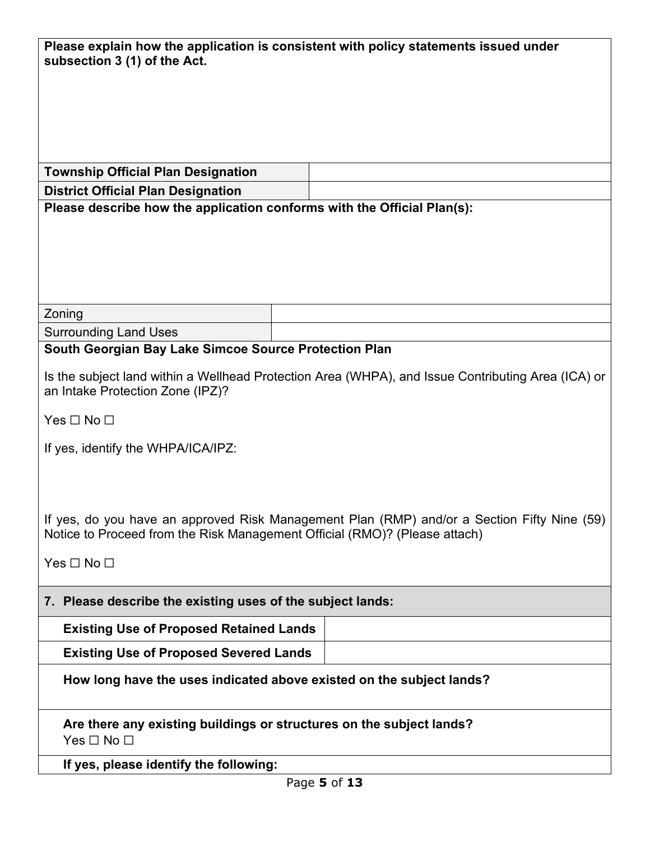| Please explain how the application is consistent with policy statements issued under<br>subsection 3 (1) of the Act.                                                      |  |  |  |
|---------------------------------------------------------------------------------------------------------------------------------------------------------------------------|--|--|--|
|                                                                                                                                                                           |  |  |  |
|                                                                                                                                                                           |  |  |  |
|                                                                                                                                                                           |  |  |  |
|                                                                                                                                                                           |  |  |  |
|                                                                                                                                                                           |  |  |  |
| <b>Township Official Plan Designation</b>                                                                                                                                 |  |  |  |
| <b>District Official Plan Designation</b>                                                                                                                                 |  |  |  |
| Please describe how the application conforms with the Official Plan(s):                                                                                                   |  |  |  |
|                                                                                                                                                                           |  |  |  |
|                                                                                                                                                                           |  |  |  |
|                                                                                                                                                                           |  |  |  |
|                                                                                                                                                                           |  |  |  |
|                                                                                                                                                                           |  |  |  |
| Zoning                                                                                                                                                                    |  |  |  |
| <b>Surrounding Land Uses</b>                                                                                                                                              |  |  |  |
| South Georgian Bay Lake Simcoe Source Protection Plan                                                                                                                     |  |  |  |
|                                                                                                                                                                           |  |  |  |
| Is the subject land within a Wellhead Protection Area (WHPA), and Issue Contributing Area (ICA) or<br>an Intake Protection Zone (IPZ)?                                    |  |  |  |
|                                                                                                                                                                           |  |  |  |
| Yes $\Box$ No $\Box$                                                                                                                                                      |  |  |  |
|                                                                                                                                                                           |  |  |  |
| If yes, identify the WHPA/ICA/IPZ:                                                                                                                                        |  |  |  |
|                                                                                                                                                                           |  |  |  |
|                                                                                                                                                                           |  |  |  |
|                                                                                                                                                                           |  |  |  |
| If yes, do you have an approved Risk Management Plan (RMP) and/or a Section Fifty Nine (59)<br>Notice to Proceed from the Risk Management Official (RMO)? (Please attach) |  |  |  |
|                                                                                                                                                                           |  |  |  |
| Yes □ No □                                                                                                                                                                |  |  |  |
|                                                                                                                                                                           |  |  |  |
| 7. Please describe the existing uses of the subject lands:                                                                                                                |  |  |  |
| <b>Existing Use of Proposed Retained Lands</b>                                                                                                                            |  |  |  |
| <b>Existing Use of Proposed Severed Lands</b>                                                                                                                             |  |  |  |
| How long have the uses indicated above existed on the subject lands?                                                                                                      |  |  |  |
| Are there any existing buildings or structures on the subject lands?                                                                                                      |  |  |  |
| Yes $\Box$ No $\Box$                                                                                                                                                      |  |  |  |
| If yes, please identify the following:                                                                                                                                    |  |  |  |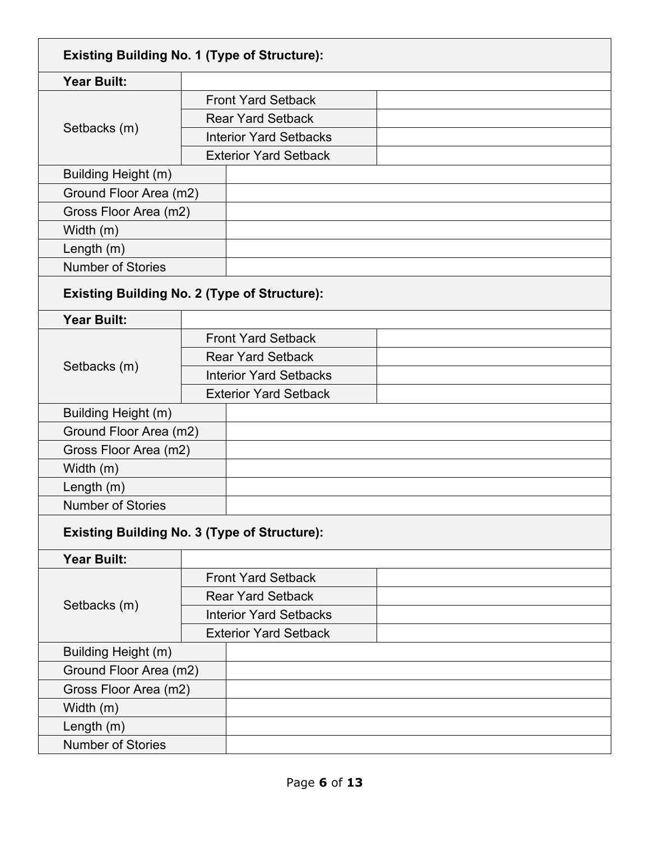| <b>Existing Building No. 1 (Type of Structure):</b> |                               |                               |  |
|-----------------------------------------------------|-------------------------------|-------------------------------|--|
| <b>Year Built:</b>                                  |                               |                               |  |
|                                                     |                               | <b>Front Yard Setback</b>     |  |
|                                                     | <b>Rear Yard Setback</b>      |                               |  |
| Setbacks (m)                                        |                               | <b>Interior Yard Setbacks</b> |  |
|                                                     |                               | <b>Exterior Yard Setback</b>  |  |
| Building Height (m)                                 |                               |                               |  |
| Ground Floor Area (m2)                              |                               |                               |  |
| Gross Floor Area (m2)                               |                               |                               |  |
| Width (m)                                           |                               |                               |  |
| Length $(m)$                                        |                               |                               |  |
| <b>Number of Stories</b>                            |                               |                               |  |
| <b>Existing Building No. 2 (Type of Structure):</b> |                               |                               |  |
| <b>Year Built:</b>                                  |                               |                               |  |
|                                                     |                               | <b>Front Yard Setback</b>     |  |
|                                                     | <b>Rear Yard Setback</b>      |                               |  |
| Setbacks (m)                                        | <b>Interior Yard Setbacks</b> |                               |  |
|                                                     |                               | <b>Exterior Yard Setback</b>  |  |
| Building Height (m)                                 |                               |                               |  |
| Ground Floor Area (m2)                              |                               |                               |  |
| Gross Floor Area (m2)                               |                               |                               |  |
| Width (m)                                           |                               |                               |  |
| Length $(m)$                                        |                               |                               |  |
| <b>Number of Stories</b>                            |                               |                               |  |
| <b>Existing Building No. 3 (Type of Structure):</b> |                               |                               |  |
| <b>Year Built:</b>                                  |                               |                               |  |
|                                                     |                               | <b>Front Yard Setback</b>     |  |
| Setbacks (m)                                        |                               | <b>Rear Yard Setback</b>      |  |
|                                                     |                               | <b>Interior Yard Setbacks</b> |  |
|                                                     | <b>Exterior Yard Setback</b>  |                               |  |
| Building Height (m)                                 |                               |                               |  |
|                                                     | Ground Floor Area (m2)        |                               |  |
|                                                     | Gross Floor Area (m2)         |                               |  |
| Width (m)                                           |                               |                               |  |
| Length $(m)$                                        |                               |                               |  |
| <b>Number of Stories</b>                            |                               |                               |  |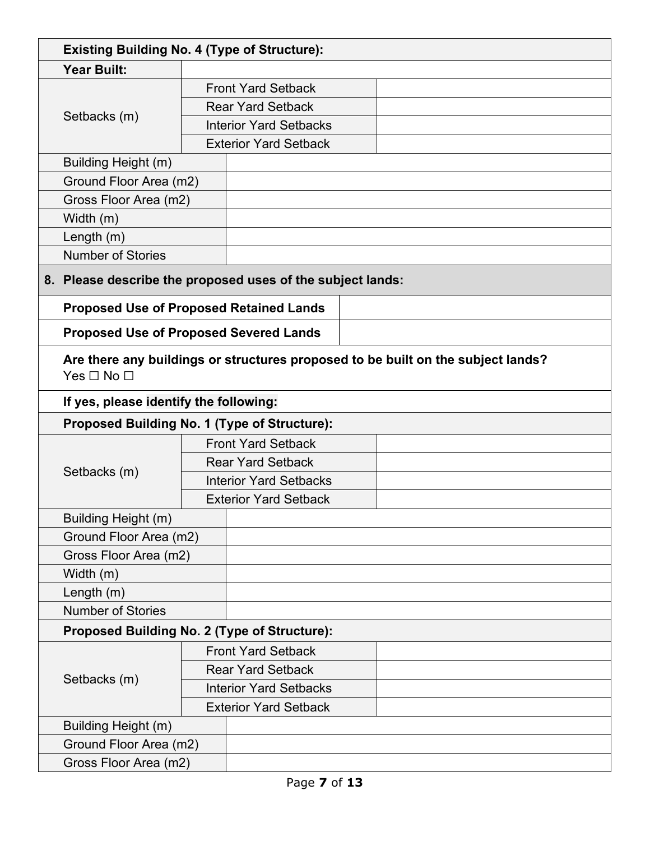| <b>Existing Building No. 4 (Type of Structure):</b>        |                                                                                  |                               |  |  |  |
|------------------------------------------------------------|----------------------------------------------------------------------------------|-------------------------------|--|--|--|
| <b>Year Built:</b>                                         |                                                                                  |                               |  |  |  |
|                                                            |                                                                                  | <b>Front Yard Setback</b>     |  |  |  |
|                                                            |                                                                                  | <b>Rear Yard Setback</b>      |  |  |  |
| Setbacks (m)                                               |                                                                                  | <b>Interior Yard Setbacks</b> |  |  |  |
|                                                            |                                                                                  | <b>Exterior Yard Setback</b>  |  |  |  |
| Building Height (m)                                        |                                                                                  |                               |  |  |  |
| Ground Floor Area (m2)                                     |                                                                                  |                               |  |  |  |
| Gross Floor Area (m2)                                      |                                                                                  |                               |  |  |  |
| Width (m)                                                  |                                                                                  |                               |  |  |  |
| Length $(m)$                                               |                                                                                  |                               |  |  |  |
| <b>Number of Stories</b>                                   |                                                                                  |                               |  |  |  |
| 8. Please describe the proposed uses of the subject lands: |                                                                                  |                               |  |  |  |
|                                                            |                                                                                  |                               |  |  |  |
| <b>Proposed Use of Proposed Retained Lands</b>             |                                                                                  |                               |  |  |  |
| <b>Proposed Use of Proposed Severed Lands</b>              |                                                                                  |                               |  |  |  |
| Yes $\Box$ No $\Box$                                       | Are there any buildings or structures proposed to be built on the subject lands? |                               |  |  |  |
| If yes, please identify the following:                     |                                                                                  |                               |  |  |  |
| Proposed Building No. 1 (Type of Structure):               |                                                                                  |                               |  |  |  |
|                                                            |                                                                                  | <b>Front Yard Setback</b>     |  |  |  |
|                                                            | <b>Rear Yard Setback</b>                                                         |                               |  |  |  |
| Setbacks (m)                                               |                                                                                  | <b>Interior Yard Setbacks</b> |  |  |  |
|                                                            |                                                                                  | <b>Exterior Yard Setback</b>  |  |  |  |
| Building Height (m)                                        |                                                                                  |                               |  |  |  |
| Ground Floor Area (m2)                                     |                                                                                  |                               |  |  |  |
| Gross Floor Area (m2)                                      |                                                                                  |                               |  |  |  |
| Width (m)                                                  |                                                                                  |                               |  |  |  |
| Length $(m)$                                               |                                                                                  |                               |  |  |  |
| <b>Number of Stories</b>                                   |                                                                                  |                               |  |  |  |
| Proposed Building No. 2 (Type of Structure):               |                                                                                  |                               |  |  |  |
|                                                            |                                                                                  | <b>Front Yard Setback</b>     |  |  |  |
| Setbacks (m)                                               |                                                                                  | <b>Rear Yard Setback</b>      |  |  |  |
|                                                            |                                                                                  | <b>Interior Yard Setbacks</b> |  |  |  |
|                                                            |                                                                                  | <b>Exterior Yard Setback</b>  |  |  |  |
| Building Height (m)                                        |                                                                                  |                               |  |  |  |
|                                                            | Ground Floor Area (m2)                                                           |                               |  |  |  |
| Gross Floor Area (m2)                                      |                                                                                  |                               |  |  |  |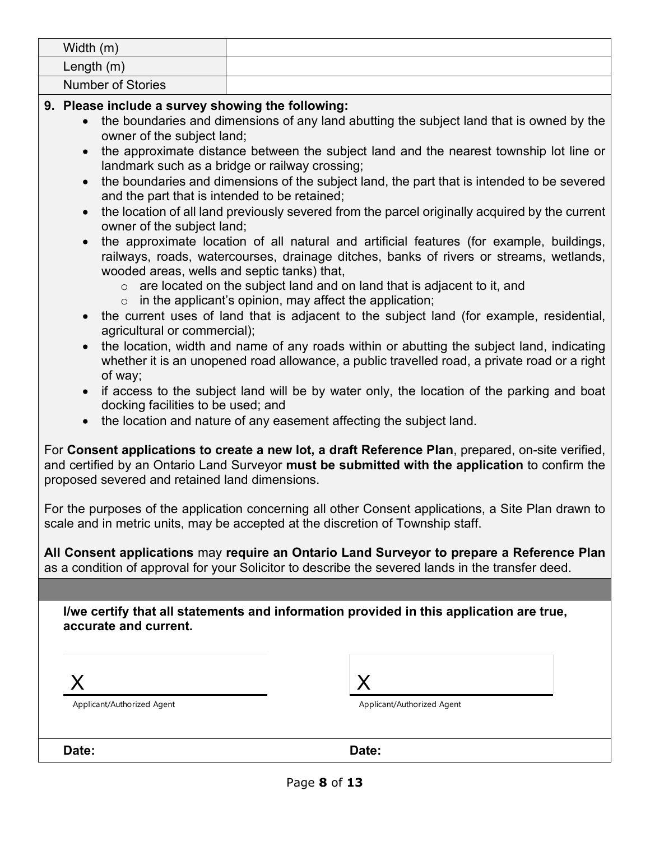| Width $(m)$       |  |
|-------------------|--|
| Length $(m)$      |  |
| Number of Stories |  |

#### **9. Please include a survey showing the following:**

- the boundaries and dimensions of any land abutting the subject land that is owned by the owner of the subject land;
- the approximate distance between the subject land and the nearest township lot line or landmark such as a bridge or railway crossing;
- the boundaries and dimensions of the subject land, the part that is intended to be severed and the part that is intended to be retained;
- the location of all land previously severed from the parcel originally acquired by the current owner of the subject land;
- the approximate location of all natural and artificial features (for example, buildings, railways, roads, watercourses, drainage ditches, banks of rivers or streams, wetlands, wooded areas, wells and septic tanks) that,
	- $\circ$  are located on the subject land and on land that is adjacent to it, and
	- $\circ$  in the applicant's opinion, may affect the application;
- the current uses of land that is adjacent to the subject land (for example, residential, agricultural or commercial);
- the location, width and name of any roads within or abutting the subject land, indicating whether it is an unopened road allowance, a public travelled road, a private road or a right of way;
- if access to the subject land will be by water only, the location of the parking and boat docking facilities to be used; and
- the location and nature of any easement affecting the subject land.

For **Consent applications to create a new lot, a draft Reference Plan**, prepared, on-site verified, and certified by an Ontario Land Surveyor **must be submitted with the application** to confirm the proposed severed and retained land dimensions.

For the purposes of the application concerning all other Consent applications, a Site Plan drawn to scale and in metric units, may be accepted at the discretion of Township staff.

**All Consent applications** may **require an Ontario Land Surveyor to prepare a Reference Plan**  as a condition of approval for your Solicitor to describe the severed lands in the transfer deed.

**I/we certify that all statements and information provided in this application are true, accurate and current.**

X

Applicant/Authorized Agent

| Applicant/Authorized Agent |  |
|----------------------------|--|

**Date: Date:**

Page **8** of **13**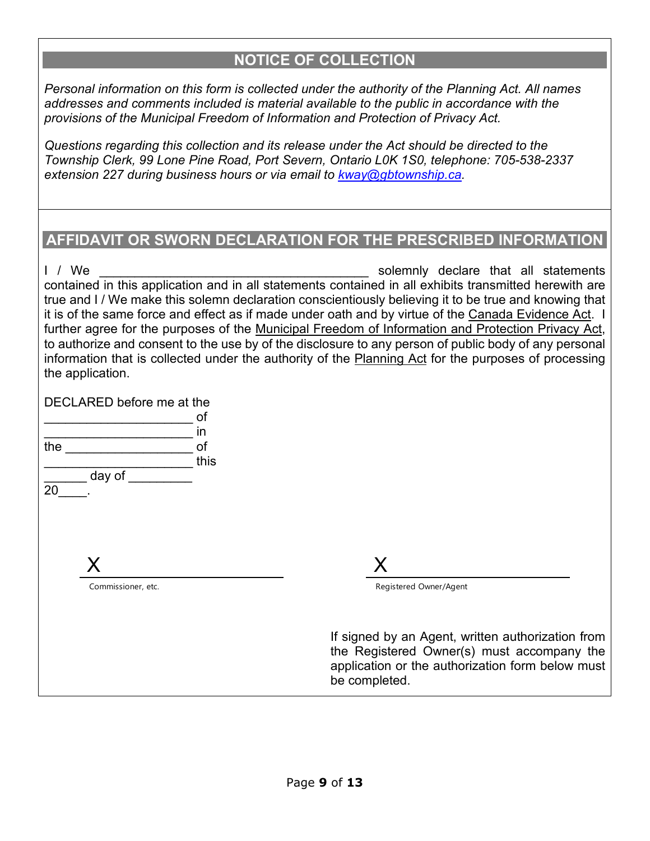#### **NOTICE OF COLLECTION**

*Personal information on this form is collected under the authority of the Planning Act. All names addresses and comments included is material available to the public in accordance with the provisions of the Municipal Freedom of Information and Protection of Privacy Act.* 

*Questions regarding this collection and its release under the Act should be directed to the Township Clerk, 99 Lone Pine Road, Port Severn, Ontario L0K 1S0, telephone: 705-538-2337 extension 227 during business hours or via email to [kway@gbtownship.ca.](mailto:kway@gbtownship.ca)* 

### **AFFIDAVIT OR SWORN DECLARATION FOR THE PRESCRIBED INFORMATION**

I / We **EXECUTE:** The solemnly declare that all statements contained in this application and in all statements contained in all exhibits transmitted herewith are true and I / We make this solemn declaration conscientiously believing it to be true and knowing that it is of the same force and effect as if made under oath and by virtue of the Canada Evidence Act. I further agree for the purposes of the Municipal Freedom of Information and Protection Privacy Act, to authorize and consent to the use by of the disclosure to any person of public body of any personal information that is collected under the authority of the Planning Act for the purposes of processing the application.

DECLARED before me at the

|     |                    | of   |
|-----|--------------------|------|
|     |                    | in   |
| the |                    | of   |
|     |                    | this |
|     | day of             |      |
| 20  |                    |      |
|     |                    |      |
|     |                    |      |
|     |                    |      |
|     |                    |      |
|     | X                  |      |
|     | Commissioner, etc. |      |
|     |                    |      |
|     |                    |      |
|     |                    |      |
|     |                    |      |
|     |                    |      |

Registered Owner/Agent

If signed by an Agent, written authorization from the Registered Owner(s) must accompany the application or the authorization form below must be completed.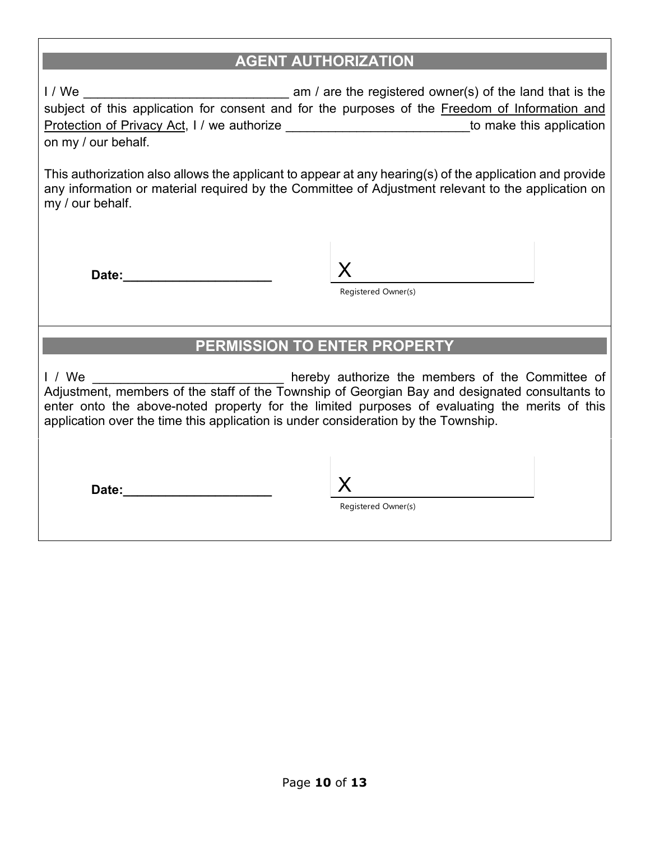## **AGENT AUTHORIZATION**

I / We \_\_\_\_\_\_\_\_\_\_\_\_\_\_\_\_\_\_\_\_\_\_\_\_\_\_\_\_\_ am / are the registered owner(s) of the land that is the subject of this application for consent and for the purposes of the Freedom of Information and Protection of Privacy Act, I / we authorize \_\_\_\_\_\_\_\_\_\_\_\_\_\_\_\_\_\_\_\_\_\_\_\_\_\_\_\_\_\_\_\_\_to make this application on my / our behalf.

This authorization also allows the applicant to appear at any hearing(s) of the application and provide any information or material required by the Committee of Adjustment relevant to the application on my / our behalf.

Date:

Registered Owner(s)

#### **PERMISSION TO ENTER PROPERTY**

I / We **I** and the members of the Committee of Adjustment, members of the staff of the Township of Georgian Bay and designated consultants to enter onto the above-noted property for the limited purposes of evaluating the merits of this application over the time this application is under consideration by the Township.

**Date:\_\_\_\_\_\_\_\_\_\_\_\_\_\_\_\_\_\_\_\_\_** X

Registered Owner(s)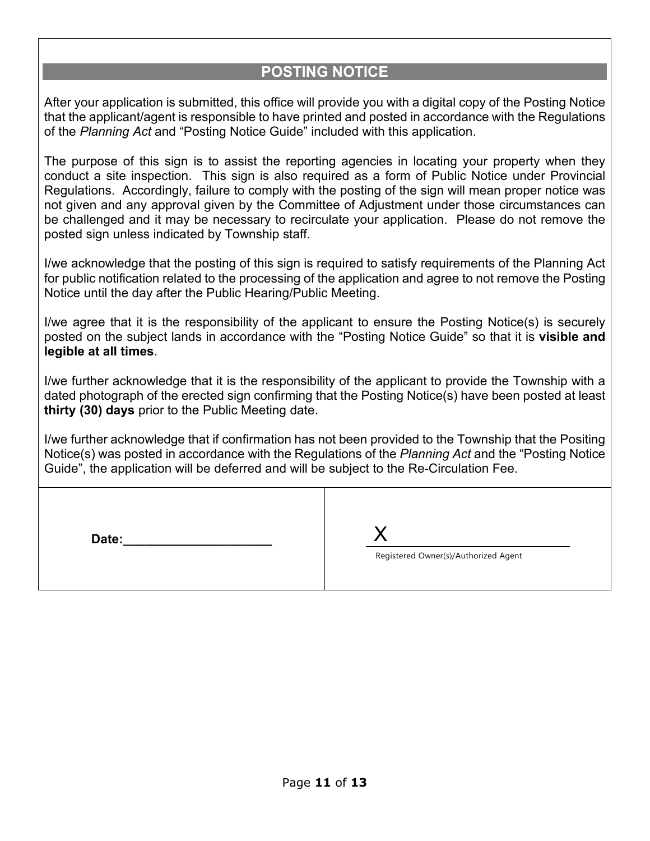## **POSTING NOTICE**

After your application is submitted, this office will provide you with a digital copy of the Posting Notice that the applicant/agent is responsible to have printed and posted in accordance with the Regulations of the *Planning Act* and "Posting Notice Guide" included with this application.

The purpose of this sign is to assist the reporting agencies in locating your property when they conduct a site inspection. This sign is also required as a form of Public Notice under Provincial Regulations. Accordingly, failure to comply with the posting of the sign will mean proper notice was not given and any approval given by the Committee of Adjustment under those circumstances can be challenged and it may be necessary to recirculate your application. Please do not remove the posted sign unless indicated by Township staff.

I/we acknowledge that the posting of this sign is required to satisfy requirements of the Planning Act for public notification related to the processing of the application and agree to not remove the Posting Notice until the day after the Public Hearing/Public Meeting.

I/we agree that it is the responsibility of the applicant to ensure the Posting Notice(s) is securely posted on the subject lands in accordance with the "Posting Notice Guide" so that it is **visible and legible at all times**.

I/we further acknowledge that it is the responsibility of the applicant to provide the Township with a dated photograph of the erected sign confirming that the Posting Notice(s) have been posted at least **thirty (30) days** prior to the Public Meeting date.

I/we further acknowledge that if confirmation has not been provided to the Township that the Positing Notice(s) was posted in accordance with the Regulations of the *Planning Act* and the "Posting Notice Guide", the application will be deferred and will be subject to the Re-Circulation Fee.

**Date:\_\_\_\_\_\_\_\_\_\_\_\_\_\_\_\_\_\_\_\_\_** X Registered Owner(s)/Authorized Agent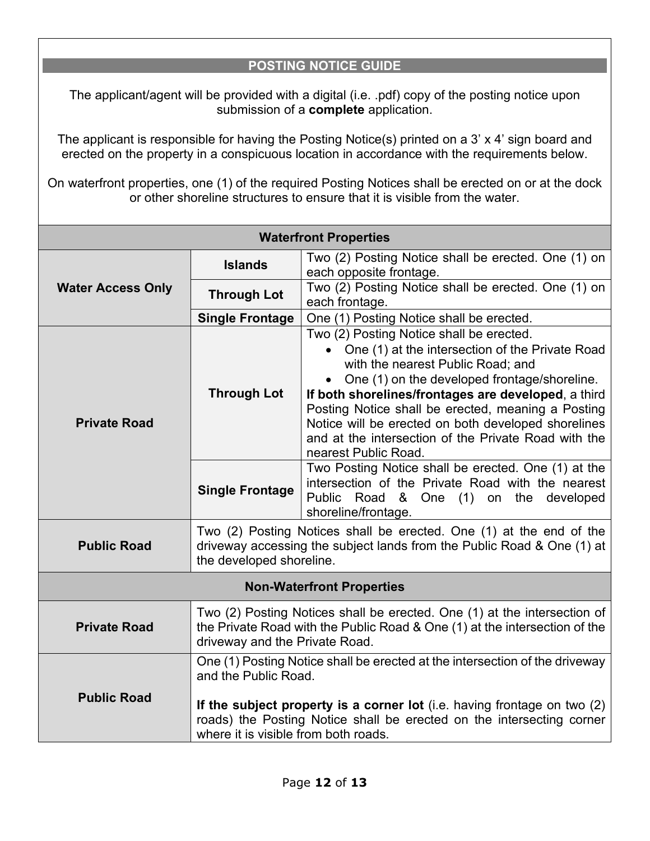#### **POSTING NOTICE GUIDE**

The applicant/agent will be provided with a digital (i.e. .pdf) copy of the posting notice upon submission of a **complete** application.

The applicant is responsible for having the Posting Notice(s) printed on a 3' x 4' sign board and erected on the property in a conspicuous location in accordance with the requirements below.

On waterfront properties, one (1) of the required Posting Notices shall be erected on or at the dock or other shoreline structures to ensure that it is visible from the water.

| <b>Waterfront Properties</b>     |                                                                                                                                                                                                                                                                                                    |                                                                                                                                                                                                                                                                                                                                                                                                                                        |  |
|----------------------------------|----------------------------------------------------------------------------------------------------------------------------------------------------------------------------------------------------------------------------------------------------------------------------------------------------|----------------------------------------------------------------------------------------------------------------------------------------------------------------------------------------------------------------------------------------------------------------------------------------------------------------------------------------------------------------------------------------------------------------------------------------|--|
|                                  | <b>Islands</b>                                                                                                                                                                                                                                                                                     | Two (2) Posting Notice shall be erected. One (1) on<br>each opposite frontage.                                                                                                                                                                                                                                                                                                                                                         |  |
| <b>Water Access Only</b>         | <b>Through Lot</b>                                                                                                                                                                                                                                                                                 | Two (2) Posting Notice shall be erected. One (1) on<br>each frontage.                                                                                                                                                                                                                                                                                                                                                                  |  |
|                                  | <b>Single Frontage</b>                                                                                                                                                                                                                                                                             | One (1) Posting Notice shall be erected.                                                                                                                                                                                                                                                                                                                                                                                               |  |
| <b>Private Road</b>              | <b>Through Lot</b>                                                                                                                                                                                                                                                                                 | Two (2) Posting Notice shall be erected.<br>• One (1) at the intersection of the Private Road<br>with the nearest Public Road; and<br>One (1) on the developed frontage/shoreline.<br>If both shorelines/frontages are developed, a third<br>Posting Notice shall be erected, meaning a Posting<br>Notice will be erected on both developed shorelines<br>and at the intersection of the Private Road with the<br>nearest Public Road. |  |
|                                  | <b>Single Frontage</b>                                                                                                                                                                                                                                                                             | Two Posting Notice shall be erected. One (1) at the<br>intersection of the Private Road with the nearest<br>Public Road & One (1) on the developed<br>shoreline/frontage.                                                                                                                                                                                                                                                              |  |
| <b>Public Road</b>               | Two (2) Posting Notices shall be erected. One (1) at the end of the<br>driveway accessing the subject lands from the Public Road & One (1) at<br>the developed shoreline.                                                                                                                          |                                                                                                                                                                                                                                                                                                                                                                                                                                        |  |
| <b>Non-Waterfront Properties</b> |                                                                                                                                                                                                                                                                                                    |                                                                                                                                                                                                                                                                                                                                                                                                                                        |  |
| <b>Private Road</b>              | Two (2) Posting Notices shall be erected. One (1) at the intersection of<br>the Private Road with the Public Road & One (1) at the intersection of the<br>driveway and the Private Road.                                                                                                           |                                                                                                                                                                                                                                                                                                                                                                                                                                        |  |
| <b>Public Road</b>               | One (1) Posting Notice shall be erected at the intersection of the driveway<br>and the Public Road.<br>If the subject property is a corner lot (i.e. having frontage on two $(2)$<br>roads) the Posting Notice shall be erected on the intersecting corner<br>where it is visible from both roads. |                                                                                                                                                                                                                                                                                                                                                                                                                                        |  |